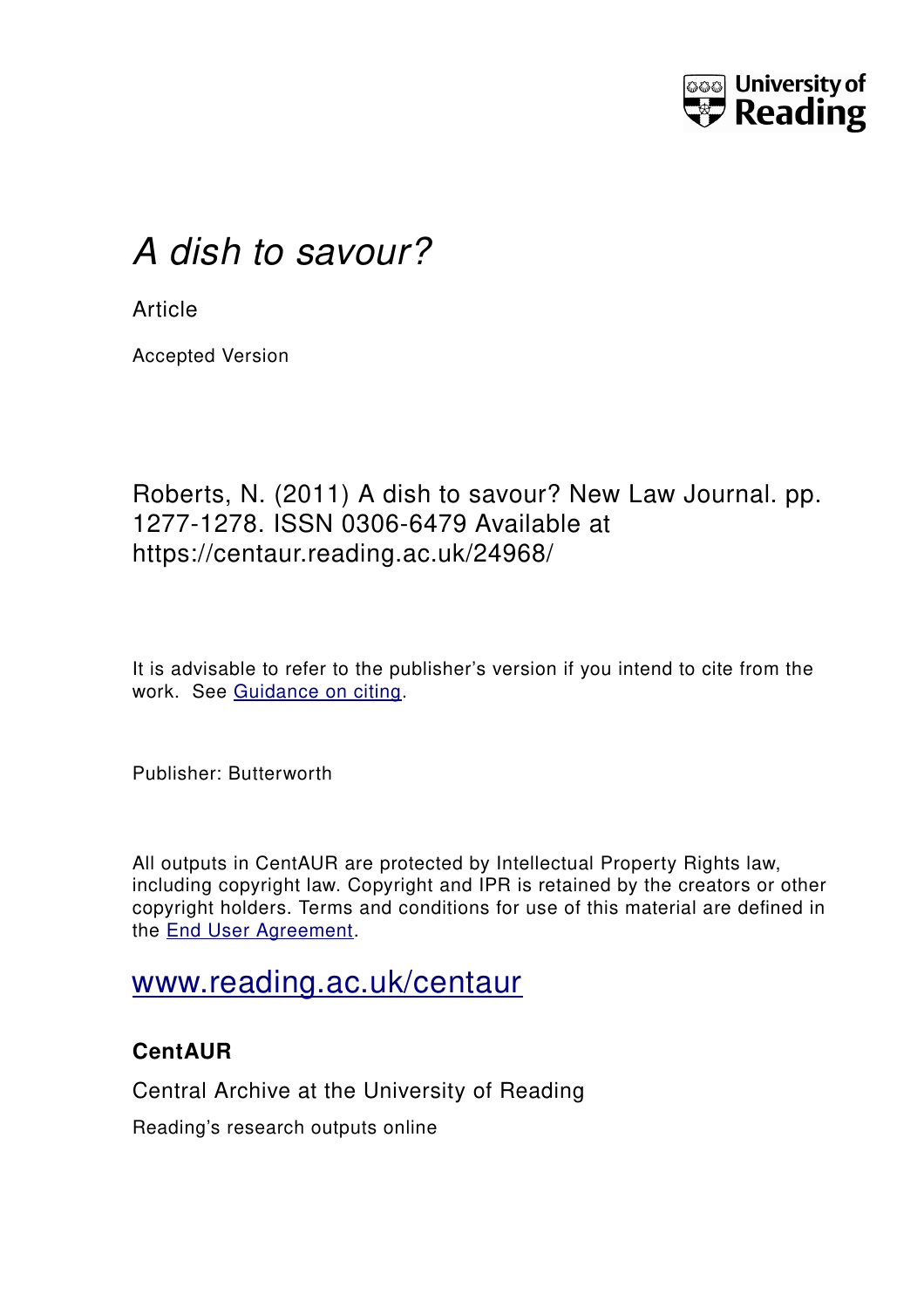

# *A dish to savour?*

**Article** 

Accepted Version

## Roberts, N. (2011) A dish to savour? New Law Journal. pp. 1277-1278. ISSN 0306-6479 Available at https://centaur.reading.ac.uk/24968/

It is advisable to refer to the publisher's version if you intend to cite from the work. See [Guidance on citing.](http://centaur.reading.ac.uk/71187/10/CentAUR%20citing%20guide.pdf)

Publisher: Butterworth

All outputs in CentAUR are protected by Intellectual Property Rights law, including copyright law. Copyright and IPR is retained by the creators or other copyright holders. Terms and conditions for use of this material are defined in the [End User Agreement.](http://centaur.reading.ac.uk/licence)

# [www.reading.ac.uk/centaur](http://www.reading.ac.uk/centaur)

### **CentAUR**

Central Archive at the University of Reading

Reading's research outputs online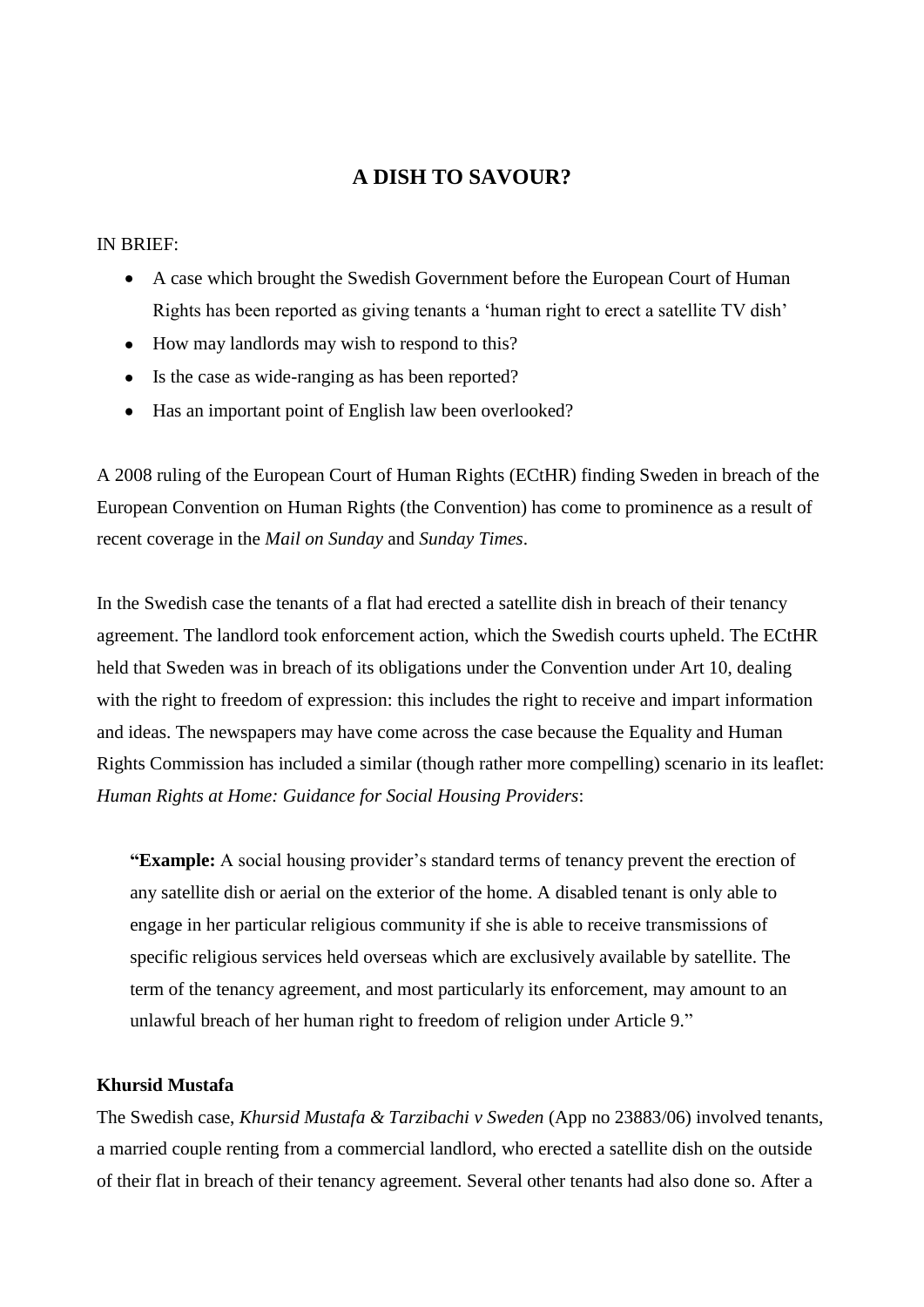#### **A DISH TO SAVOUR?**

IN BRIEF:

- A case which brought the Swedish Government before the European Court of Human Rights has been reported as giving tenants a "human right to erect a satellite TV dish"
- How may landlords may wish to respond to this?
- Is the case as wide-ranging as has been reported?
- Has an important point of English law been overlooked?

A 2008 ruling of the European Court of Human Rights (ECtHR) finding Sweden in breach of the European Convention on Human Rights (the Convention) has come to prominence as a result of recent coverage in the *Mail on Sunday* and *Sunday Times*.

In the Swedish case the tenants of a flat had erected a satellite dish in breach of their tenancy agreement. The landlord took enforcement action, which the Swedish courts upheld. The ECtHR held that Sweden was in breach of its obligations under the Convention under Art 10, dealing with the right to freedom of expression: this includes the right to receive and impart information and ideas. The newspapers may have come across the case because the Equality and Human Rights Commission has included a similar (though rather more compelling) scenario in its leaflet: *Human Rights at Home: Guidance for Social Housing Providers*:

"Example: A social housing provider's standard terms of tenancy prevent the erection of any satellite dish or aerial on the exterior of the home. A disabled tenant is only able to engage in her particular religious community if she is able to receive transmissions of specific religious services held overseas which are exclusively available by satellite. The term of the tenancy agreement, and most particularly its enforcement, may amount to an unlawful breach of her human right to freedom of religion under Article 9."

#### **Khursid Mustafa**

The Swedish case, *Khursid Mustafa & Tarzibachi v Sweden* (App no 23883/06) involved tenants, a married couple renting from a commercial landlord, who erected a satellite dish on the outside of their flat in breach of their tenancy agreement. Several other tenants had also done so. After a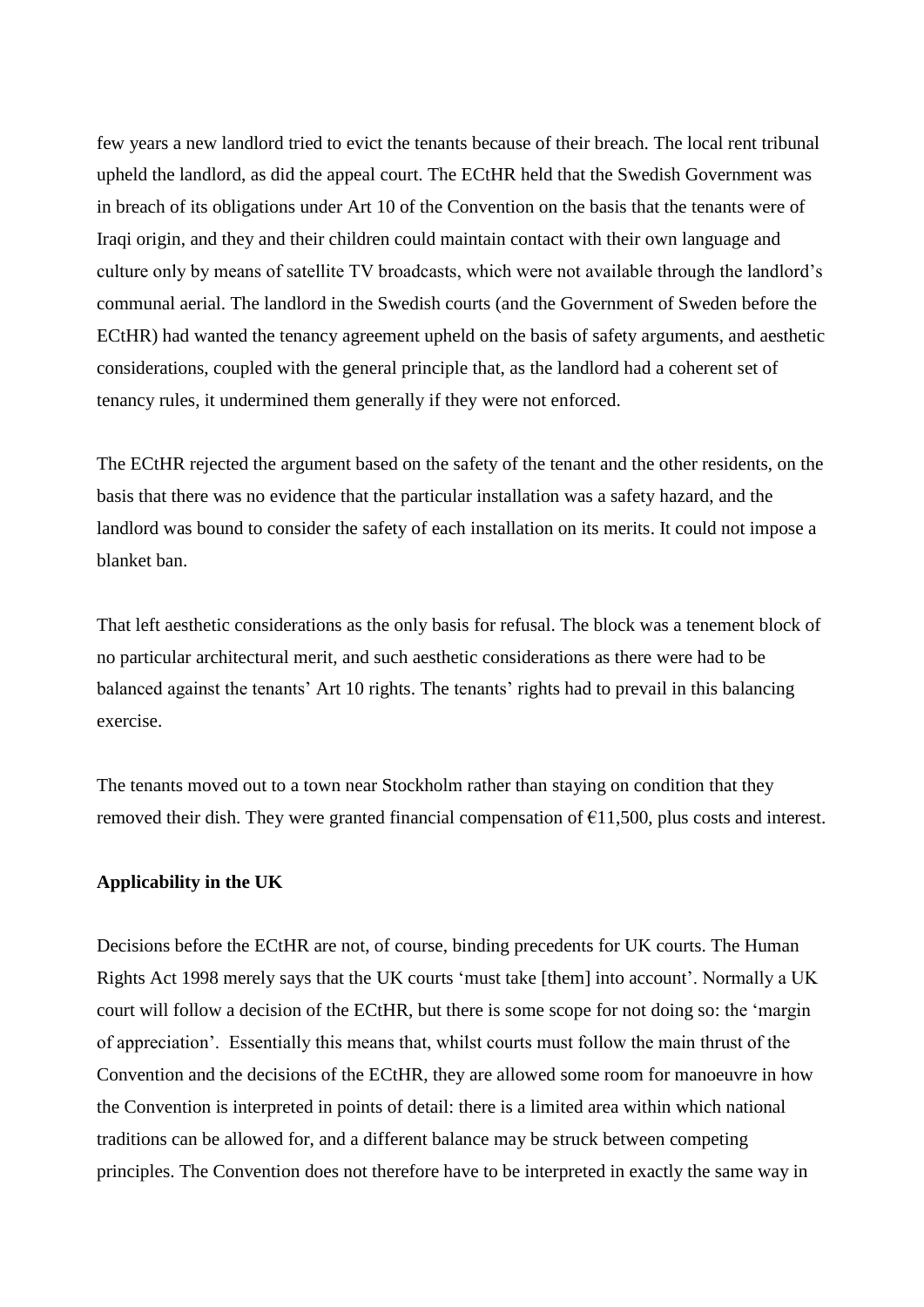few years a new landlord tried to evict the tenants because of their breach. The local rent tribunal upheld the landlord, as did the appeal court. The ECtHR held that the Swedish Government was in breach of its obligations under Art 10 of the Convention on the basis that the tenants were of Iraqi origin, and they and their children could maintain contact with their own language and culture only by means of satellite TV broadcasts, which were not available through the landlord"s communal aerial. The landlord in the Swedish courts (and the Government of Sweden before the ECtHR) had wanted the tenancy agreement upheld on the basis of safety arguments, and aesthetic considerations, coupled with the general principle that, as the landlord had a coherent set of tenancy rules, it undermined them generally if they were not enforced.

The ECtHR rejected the argument based on the safety of the tenant and the other residents, on the basis that there was no evidence that the particular installation was a safety hazard, and the landlord was bound to consider the safety of each installation on its merits. It could not impose a blanket ban.

That left aesthetic considerations as the only basis for refusal. The block was a tenement block of no particular architectural merit, and such aesthetic considerations as there were had to be balanced against the tenants' Art 10 rights. The tenants' rights had to prevail in this balancing exercise.

The tenants moved out to a town near Stockholm rather than staying on condition that they removed their dish. They were granted financial compensation of  $E$ 11,500, plus costs and interest.

#### **Applicability in the UK**

Decisions before the ECtHR are not, of course, binding precedents for UK courts. The Human Rights Act 1998 merely says that the UK courts 'must take [them] into account'. Normally a UK court will follow a decision of the ECtHR, but there is some scope for not doing so: the "margin of appreciation". Essentially this means that, whilst courts must follow the main thrust of the Convention and the decisions of the ECtHR, they are allowed some room for manoeuvre in how the Convention is interpreted in points of detail: there is a limited area within which national traditions can be allowed for, and a different balance may be struck between competing principles. The Convention does not therefore have to be interpreted in exactly the same way in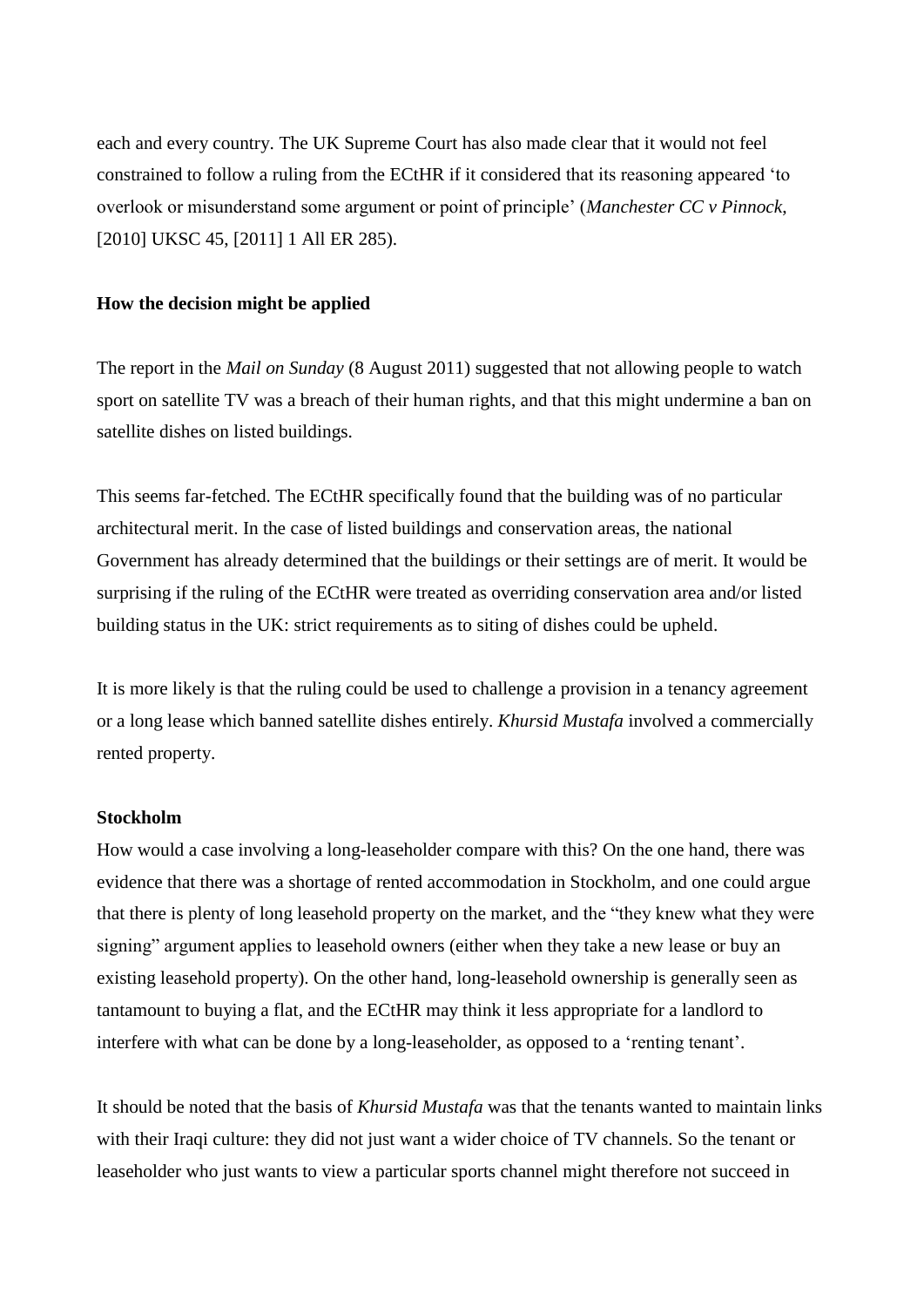each and every country. The UK Supreme Court has also made clear that it would not feel constrained to follow a ruling from the ECtHR if it considered that its reasoning appeared "to overlook or misunderstand some argument or point of principle" (*Manchester CC v Pinnock*, [2010] UKSC 45, [2011] 1 All ER 285).

#### **How the decision might be applied**

The report in the *Mail on Sunday* (8 August 2011) suggested that not allowing people to watch sport on satellite TV was a breach of their human rights, and that this might undermine a ban on satellite dishes on listed buildings.

This seems far-fetched. The ECtHR specifically found that the building was of no particular architectural merit. In the case of listed buildings and conservation areas, the national Government has already determined that the buildings or their settings are of merit. It would be surprising if the ruling of the ECtHR were treated as overriding conservation area and/or listed building status in the UK: strict requirements as to siting of dishes could be upheld.

It is more likely is that the ruling could be used to challenge a provision in a tenancy agreement or a long lease which banned satellite dishes entirely. *Khursid Mustafa* involved a commercially rented property.

#### **Stockholm**

How would a case involving a long-leaseholder compare with this? On the one hand, there was evidence that there was a shortage of rented accommodation in Stockholm, and one could argue that there is plenty of long leasehold property on the market, and the "they knew what they were signing" argument applies to leasehold owners (either when they take a new lease or buy an existing leasehold property). On the other hand, long-leasehold ownership is generally seen as tantamount to buying a flat, and the ECtHR may think it less appropriate for a landlord to interfere with what can be done by a long-leaseholder, as opposed to a "renting tenant".

It should be noted that the basis of *Khursid Mustafa* was that the tenants wanted to maintain links with their Iraqi culture: they did not just want a wider choice of TV channels. So the tenant or leaseholder who just wants to view a particular sports channel might therefore not succeed in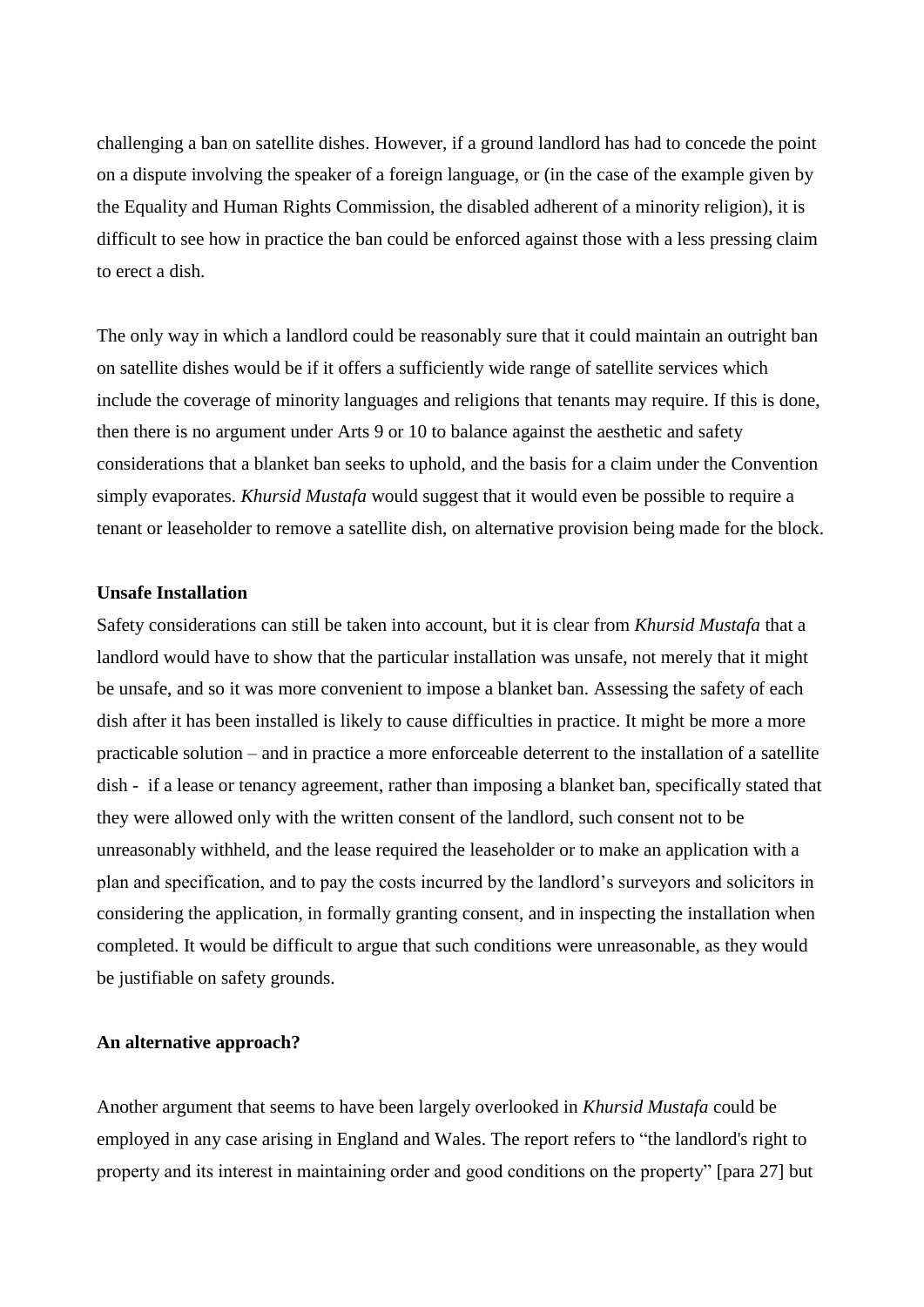challenging a ban on satellite dishes. However, if a ground landlord has had to concede the point on a dispute involving the speaker of a foreign language, or (in the case of the example given by the Equality and Human Rights Commission, the disabled adherent of a minority religion), it is difficult to see how in practice the ban could be enforced against those with a less pressing claim to erect a dish.

The only way in which a landlord could be reasonably sure that it could maintain an outright ban on satellite dishes would be if it offers a sufficiently wide range of satellite services which include the coverage of minority languages and religions that tenants may require. If this is done, then there is no argument under Arts 9 or 10 to balance against the aesthetic and safety considerations that a blanket ban seeks to uphold, and the basis for a claim under the Convention simply evaporates. *Khursid Mustafa* would suggest that it would even be possible to require a tenant or leaseholder to remove a satellite dish, on alternative provision being made for the block.

#### **Unsafe Installation**

Safety considerations can still be taken into account, but it is clear from *Khursid Mustafa* that a landlord would have to show that the particular installation was unsafe, not merely that it might be unsafe, and so it was more convenient to impose a blanket ban. Assessing the safety of each dish after it has been installed is likely to cause difficulties in practice. It might be more a more practicable solution – and in practice a more enforceable deterrent to the installation of a satellite dish - if a lease or tenancy agreement, rather than imposing a blanket ban, specifically stated that they were allowed only with the written consent of the landlord, such consent not to be unreasonably withheld, and the lease required the leaseholder or to make an application with a plan and specification, and to pay the costs incurred by the landlord"s surveyors and solicitors in considering the application, in formally granting consent, and in inspecting the installation when completed. It would be difficult to argue that such conditions were unreasonable, as they would be justifiable on safety grounds.

#### **An alternative approach?**

Another argument that seems to have been largely overlooked in *Khursid Mustafa* could be employed in any case arising in England and Wales. The report refers to "the landlord's right to property and its interest in maintaining order and good conditions on the property" [para 27] but